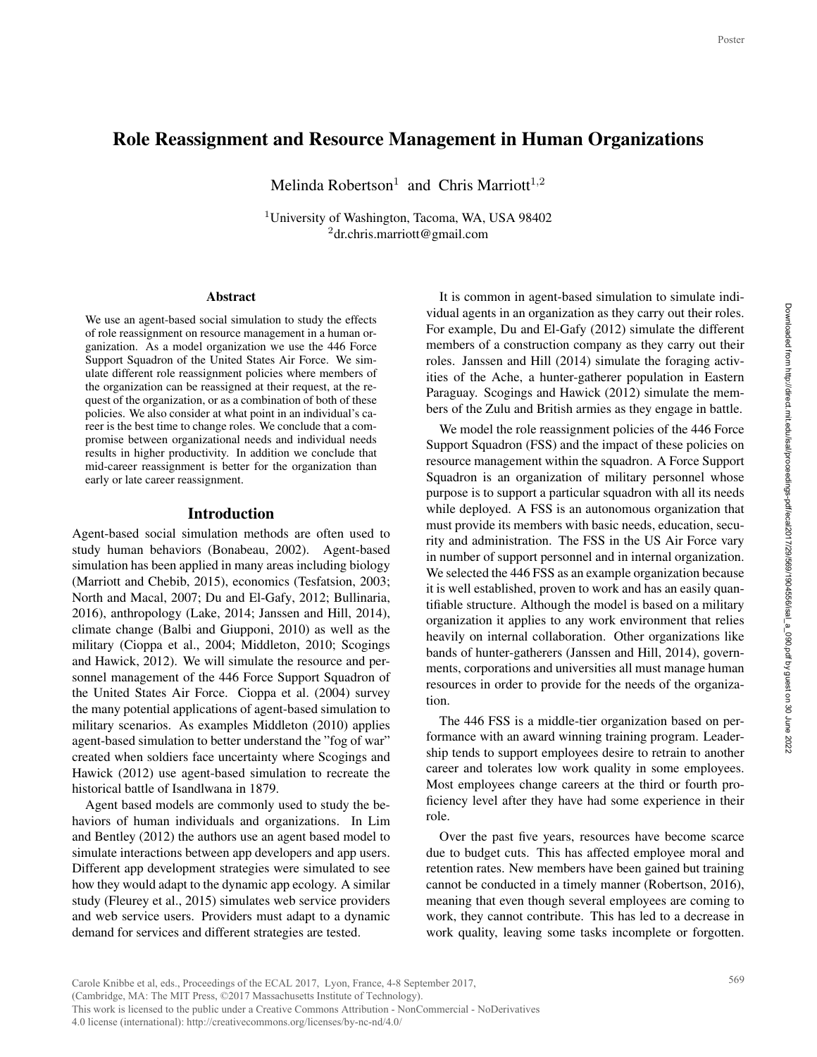# Role Reassignment and Resource Management in Human Organizations

Melinda Robertson<sup>1</sup> and Chris Marriott<sup>1,2</sup>

<sup>1</sup>University of Washington, Tacoma, WA, USA 98402 <sup>2</sup>dr.chris.marriott@gmail.com

#### **Abstract**

We use an agent-based social simulation to study the effects of role reassignment on resource management in a human organization. As a model organization we use the 446 Force Support Squadron of the United States Air Force. We simulate different role reassignment policies where members of the organization can be reassigned at their request, at the request of the organization, or as a combination of both of these policies. We also consider at what point in an individual's career is the best time to change roles. We conclude that a compromise between organizational needs and individual needs results in higher productivity. In addition we conclude that mid-career reassignment is better for the organization than early or late career reassignment.

### Introduction

Agent-based social simulation methods are often used to study human behaviors (Bonabeau, 2002). Agent-based simulation has been applied in many areas including biology (Marriott and Chebib, 2015), economics (Tesfatsion, 2003; North and Macal, 2007; Du and El-Gafy, 2012; Bullinaria, 2016), anthropology (Lake, 2014; Janssen and Hill, 2014), climate change (Balbi and Giupponi, 2010) as well as the military (Cioppa et al., 2004; Middleton, 2010; Scogings and Hawick, 2012). We will simulate the resource and personnel management of the 446 Force Support Squadron of the United States Air Force. Cioppa et al. (2004) survey the many potential applications of agent-based simulation to military scenarios. As examples Middleton (2010) applies agent-based simulation to better understand the "fog of war" created when soldiers face uncertainty where Scogings and Hawick (2012) use agent-based simulation to recreate the historical battle of Isandlwana in 1879.

Agent based models are commonly used to study the behaviors of human individuals and organizations. In Lim and Bentley (2012) the authors use an agent based model to simulate interactions between app developers and app users. Different app development strategies were simulated to see how they would adapt to the dynamic app ecology. A similar study (Fleurey et al., 2015) simulates web service providers and web service users. Providers must adapt to a dynamic demand for services and different strategies are tested.

It is common in agent-based simulation to simulate individual agents in an organization as they carry out their roles. For example, Du and El-Gafy (2012) simulate the different members of a construction company as they carry out their roles. Janssen and Hill (2014) simulate the foraging activities of the Ache, a hunter-gatherer population in Eastern Paraguay. Scogings and Hawick (2012) simulate the members of the Zulu and British armies as they engage in battle.

We model the role reassignment policies of the 446 Force Support Squadron (FSS) and the impact of these policies on resource management within the squadron. A Force Support Squadron is an organization of military personnel whose purpose is to support a particular squadron with all its needs while deployed. A FSS is an autonomous organization that must provide its members with basic needs, education, security and administration. The FSS in the US Air Force vary in number of support personnel and in internal organization. We selected the 446 FSS as an example organization because it is well established, proven to work and has an easily quantifiable structure. Although the model is based on a military organization it applies to any work environment that relies heavily on internal collaboration. Other organizations like bands of hunter-gatherers (Janssen and Hill, 2014), governments, corporations and universities all must manage human resources in order to provide for the needs of the organization. implied in the internal process on the internal process on pport<br>force as on pport hose exerges on pport has eccu-<br>vary vary whose exerges is like wern-<br>iniza-<br>per-<br>per-<br>their process. process on the internal process of a

The 446 FSS is a middle-tier organization based on performance with an award winning training program. Leadership tends to support employees desire to retrain to another career and tolerates low work quality in some employees. Most employees change careers at the third or fourth proficiency level after they have had some experience in their role.

Over the past five years, resources have become scarce due to budget cuts. This has affected employee moral and retention rates. New members have been gained but training cannot be conducted in a timely manner (Robertson, 2016), meaning that even though several employees are coming to work, they cannot contribute. This has led to a decrease in work quality, leaving some tasks incomplete or forgotten.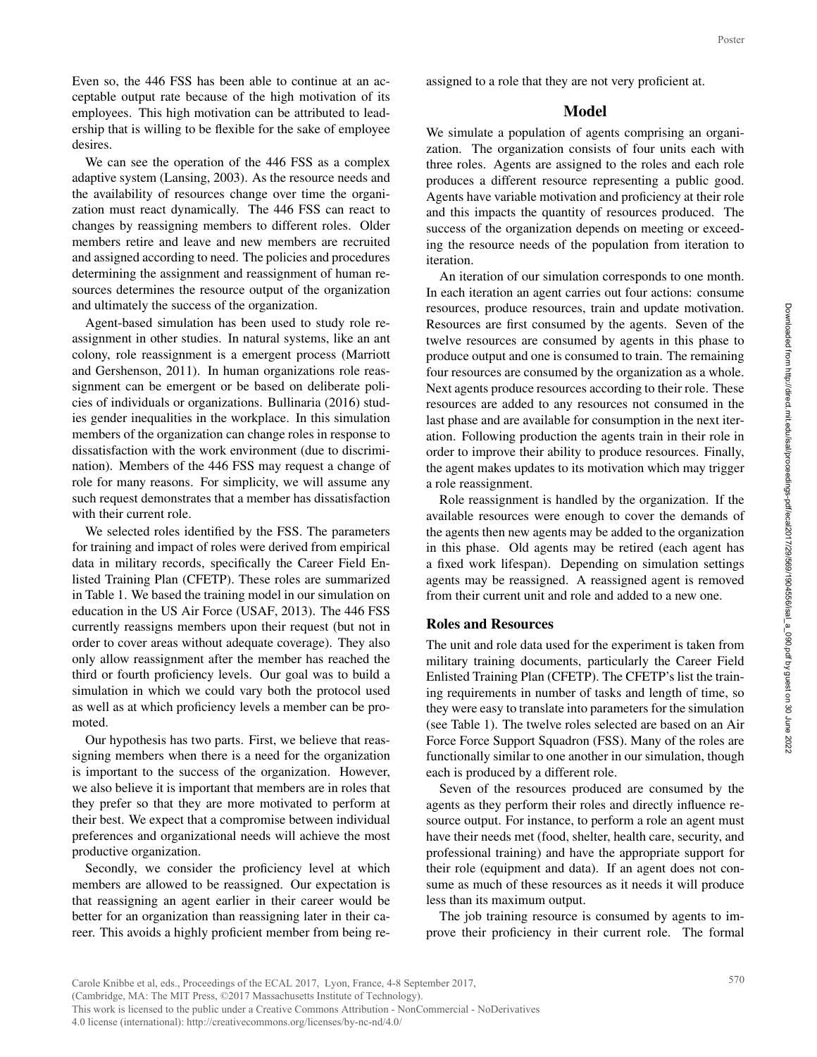Even so, the 446 FSS has been able to continue at an acceptable output rate because of the high motivation of its employees. This high motivation can be attributed to leadership that is willing to be flexible for the sake of employee desires.

We can see the operation of the 446 FSS as a complex adaptive system (Lansing, 2003). As the resource needs and the availability of resources change over time the organization must react dynamically. The 446 FSS can react to changes by reassigning members to different roles. Older members retire and leave and new members are recruited and assigned according to need. The policies and procedures determining the assignment and reassignment of human resources determines the resource output of the organization and ultimately the success of the organization.

Agent-based simulation has been used to study role reassignment in other studies. In natural systems, like an ant colony, role reassignment is a emergent process (Marriott and Gershenson, 2011). In human organizations role reassignment can be emergent or be based on deliberate policies of individuals or organizations. Bullinaria (2016) studies gender inequalities in the workplace. In this simulation members of the organization can change roles in response to dissatisfaction with the work environment (due to discrimination). Members of the 446 FSS may request a change of role for many reasons. For simplicity, we will assume any such request demonstrates that a member has dissatisfaction with their current role.

We selected roles identified by the FSS. The parameters for training and impact of roles were derived from empirical data in military records, specifically the Career Field Enlisted Training Plan (CFETP). These roles are summarized in Table 1. We based the training model in our simulation on education in the US Air Force (USAF, 2013). The 446 FSS currently reassigns members upon their request (but not in order to cover areas without adequate coverage). They also only allow reassignment after the member has reached the third or fourth proficiency levels. Our goal was to build a simulation in which we could vary both the protocol used as well as at which proficiency levels a member can be promoted.

Our hypothesis has two parts. First, we believe that reassigning members when there is a need for the organization is important to the success of the organization. However, we also believe it is important that members are in roles that they prefer so that they are more motivated to perform at their best. We expect that a compromise between individual preferences and organizational needs will achieve the most productive organization.

Secondly, we consider the proficiency level at which members are allowed to be reassigned. Our expectation is that reassigning an agent earlier in their career would be better for an organization than reassigning later in their career. This avoids a highly proficient member from being reassigned to a role that they are not very proficient at.

# Model

We simulate a population of agents comprising an organization. The organization consists of four units each with three roles. Agents are assigned to the roles and each role produces a different resource representing a public good. Agents have variable motivation and proficiency at their role and this impacts the quantity of resources produced. The success of the organization depends on meeting or exceeding the resource needs of the population from iteration to iteration.

An iteration of our simulation corresponds to one month. In each iteration an agent carries out four actions: consume resources, produce resources, train and update motivation. Resources are first consumed by the agents. Seven of the twelve resources are consumed by agents in this phase to produce output and one is consumed to train. The remaining four resources are consumed by the organization as a whole. Next agents produce resources according to their role. These resources are added to any resources not consumed in the last phase and are available for consumption in the next iteration. Following production the agents train in their role in order to improve their ability to produce resources. Finally, the agent makes updates to its motivation which may trigger a role reassignment. poster<br>gani-with role<br>good.<br>role The ceed-bon to the ceed-bon to the seed-bon to the<br>seed-bon to onth.<br>sume thing the ceed-bon the citer-hally,<br>igger if the seed-bon thas<br>in a direct on the ceed-must<br>ceed-bon Air safe of t

Role reassignment is handled by the organization. If the available resources were enough to cover the demands of the agents then new agents may be added to the organization in this phase. Old agents may be retired (each agent has a fixed work lifespan). Depending on simulation settings agents may be reassigned. A reassigned agent is removed from their current unit and role and added to a new one.

### Roles and Resources

The unit and role data used for the experiment is taken from military training documents, particularly the Career Field Enlisted Training Plan (CFETP). The CFETP's list the training requirements in number of tasks and length of time, so they were easy to translate into parameters for the simulation (see Table 1). The twelve roles selected are based on an Air Force Force Support Squadron (FSS). Many of the roles are functionally similar to one another in our simulation, though each is produced by a different role.

Seven of the resources produced are consumed by the agents as they perform their roles and directly influence resource output. For instance, to perform a role an agent must have their needs met (food, shelter, health care, security, and professional training) and have the appropriate support for their role (equipment and data). If an agent does not consume as much of these resources as it needs it will produce less than its maximum output.

The job training resource is consumed by agents to improve their proficiency in their current role. The formal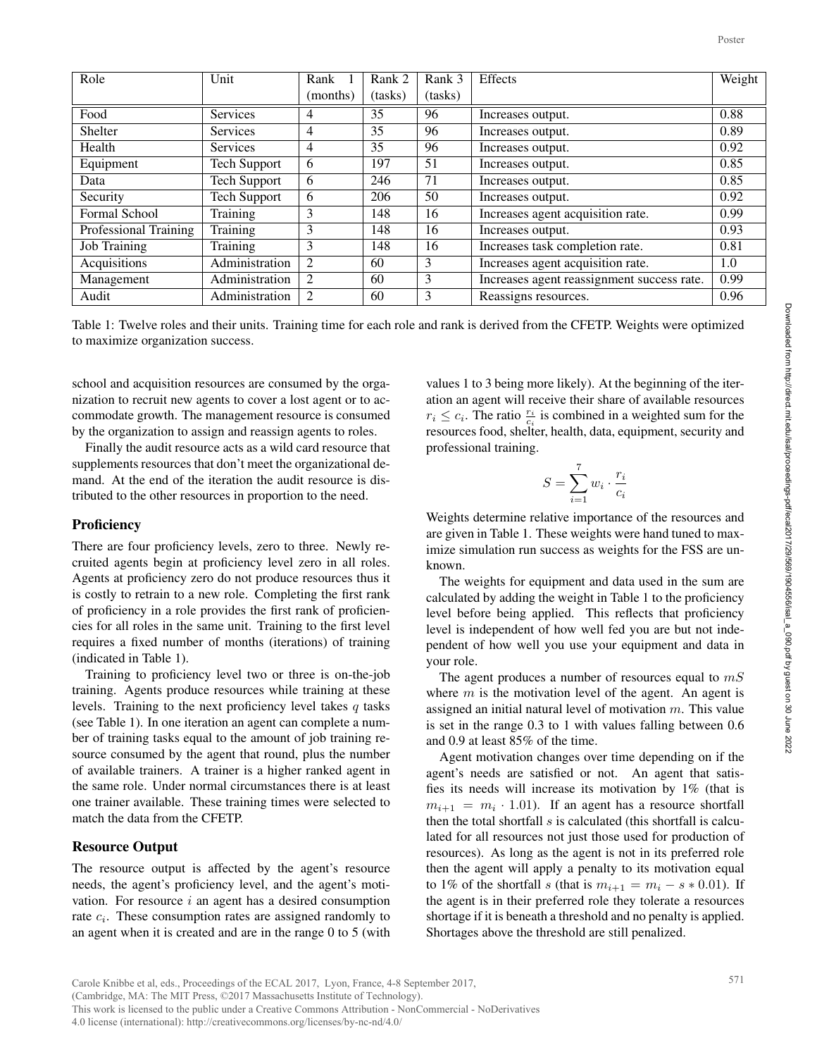|                                                                                                                                                                                                                                                                                                                                                                                                                                                                                                                                                                                                                                                                                                                                                                                                                                                                                                                                                                                                                                                                                                                                                                                                                                                                                                                                                                                                                |                     |                    |                   |                                                                                                                                                                                                                                                                                                  |                                                                                                                                                                                                                                                                                                                                                                                                                                                                                                                                                                                                                                                                                                                                                                                                                                                                                                                                                                                                                                                                                                                                                                                                                                                                                                                                                                                                                         | Poster |
|----------------------------------------------------------------------------------------------------------------------------------------------------------------------------------------------------------------------------------------------------------------------------------------------------------------------------------------------------------------------------------------------------------------------------------------------------------------------------------------------------------------------------------------------------------------------------------------------------------------------------------------------------------------------------------------------------------------------------------------------------------------------------------------------------------------------------------------------------------------------------------------------------------------------------------------------------------------------------------------------------------------------------------------------------------------------------------------------------------------------------------------------------------------------------------------------------------------------------------------------------------------------------------------------------------------------------------------------------------------------------------------------------------------|---------------------|--------------------|-------------------|--------------------------------------------------------------------------------------------------------------------------------------------------------------------------------------------------------------------------------------------------------------------------------------------------|-------------------------------------------------------------------------------------------------------------------------------------------------------------------------------------------------------------------------------------------------------------------------------------------------------------------------------------------------------------------------------------------------------------------------------------------------------------------------------------------------------------------------------------------------------------------------------------------------------------------------------------------------------------------------------------------------------------------------------------------------------------------------------------------------------------------------------------------------------------------------------------------------------------------------------------------------------------------------------------------------------------------------------------------------------------------------------------------------------------------------------------------------------------------------------------------------------------------------------------------------------------------------------------------------------------------------------------------------------------------------------------------------------------------------|--------|
| Role                                                                                                                                                                                                                                                                                                                                                                                                                                                                                                                                                                                                                                                                                                                                                                                                                                                                                                                                                                                                                                                                                                                                                                                                                                                                                                                                                                                                           | Unit                | Rank 1<br>(months) | Rank 2<br>(tasks) | Rank 3<br>(tasks)                                                                                                                                                                                                                                                                                | Effects                                                                                                                                                                                                                                                                                                                                                                                                                                                                                                                                                                                                                                                                                                                                                                                                                                                                                                                                                                                                                                                                                                                                                                                                                                                                                                                                                                                                                 | Weight |
| Food                                                                                                                                                                                                                                                                                                                                                                                                                                                                                                                                                                                                                                                                                                                                                                                                                                                                                                                                                                                                                                                                                                                                                                                                                                                                                                                                                                                                           | Services            | 4                  | 35                | 96                                                                                                                                                                                                                                                                                               | Increases output.                                                                                                                                                                                                                                                                                                                                                                                                                                                                                                                                                                                                                                                                                                                                                                                                                                                                                                                                                                                                                                                                                                                                                                                                                                                                                                                                                                                                       | 0.88   |
| Shelter                                                                                                                                                                                                                                                                                                                                                                                                                                                                                                                                                                                                                                                                                                                                                                                                                                                                                                                                                                                                                                                                                                                                                                                                                                                                                                                                                                                                        | Services            | $\overline{4}$     | $\overline{35}$   | 96                                                                                                                                                                                                                                                                                               | Increases output.                                                                                                                                                                                                                                                                                                                                                                                                                                                                                                                                                                                                                                                                                                                                                                                                                                                                                                                                                                                                                                                                                                                                                                                                                                                                                                                                                                                                       | 0.89   |
| Health                                                                                                                                                                                                                                                                                                                                                                                                                                                                                                                                                                                                                                                                                                                                                                                                                                                                                                                                                                                                                                                                                                                                                                                                                                                                                                                                                                                                         | Services            | 4                  | $\overline{35}$   | 96                                                                                                                                                                                                                                                                                               | Increases output.                                                                                                                                                                                                                                                                                                                                                                                                                                                                                                                                                                                                                                                                                                                                                                                                                                                                                                                                                                                                                                                                                                                                                                                                                                                                                                                                                                                                       | 0.92   |
| Equipment                                                                                                                                                                                                                                                                                                                                                                                                                                                                                                                                                                                                                                                                                                                                                                                                                                                                                                                                                                                                                                                                                                                                                                                                                                                                                                                                                                                                      | <b>Tech Support</b> | 6                  | 197               | $\overline{51}$                                                                                                                                                                                                                                                                                  | Increases output.                                                                                                                                                                                                                                                                                                                                                                                                                                                                                                                                                                                                                                                                                                                                                                                                                                                                                                                                                                                                                                                                                                                                                                                                                                                                                                                                                                                                       | 0.85   |
| Data                                                                                                                                                                                                                                                                                                                                                                                                                                                                                                                                                                                                                                                                                                                                                                                                                                                                                                                                                                                                                                                                                                                                                                                                                                                                                                                                                                                                           | <b>Tech Support</b> | 6                  | 246               | 71                                                                                                                                                                                                                                                                                               | Increases output.                                                                                                                                                                                                                                                                                                                                                                                                                                                                                                                                                                                                                                                                                                                                                                                                                                                                                                                                                                                                                                                                                                                                                                                                                                                                                                                                                                                                       | 0.85   |
| Security                                                                                                                                                                                                                                                                                                                                                                                                                                                                                                                                                                                                                                                                                                                                                                                                                                                                                                                                                                                                                                                                                                                                                                                                                                                                                                                                                                                                       | <b>Tech Support</b> | 6                  | 206               | $\overline{50}$                                                                                                                                                                                                                                                                                  | Increases output.                                                                                                                                                                                                                                                                                                                                                                                                                                                                                                                                                                                                                                                                                                                                                                                                                                                                                                                                                                                                                                                                                                                                                                                                                                                                                                                                                                                                       | 0.92   |
| Formal School                                                                                                                                                                                                                                                                                                                                                                                                                                                                                                                                                                                                                                                                                                                                                                                                                                                                                                                                                                                                                                                                                                                                                                                                                                                                                                                                                                                                  | Training            | 3                  | 148               | 16                                                                                                                                                                                                                                                                                               | Increases agent acquisition rate.                                                                                                                                                                                                                                                                                                                                                                                                                                                                                                                                                                                                                                                                                                                                                                                                                                                                                                                                                                                                                                                                                                                                                                                                                                                                                                                                                                                       | 0.99   |
| Professional Training                                                                                                                                                                                                                                                                                                                                                                                                                                                                                                                                                                                                                                                                                                                                                                                                                                                                                                                                                                                                                                                                                                                                                                                                                                                                                                                                                                                          | Training            | $\mathfrak{Z}$     | 148               | 16                                                                                                                                                                                                                                                                                               | Increases output.                                                                                                                                                                                                                                                                                                                                                                                                                                                                                                                                                                                                                                                                                                                                                                                                                                                                                                                                                                                                                                                                                                                                                                                                                                                                                                                                                                                                       | 0.93   |
| <b>Job Training</b>                                                                                                                                                                                                                                                                                                                                                                                                                                                                                                                                                                                                                                                                                                                                                                                                                                                                                                                                                                                                                                                                                                                                                                                                                                                                                                                                                                                            | Training            | 3                  | 148               | 16                                                                                                                                                                                                                                                                                               | Increases task completion rate.                                                                                                                                                                                                                                                                                                                                                                                                                                                                                                                                                                                                                                                                                                                                                                                                                                                                                                                                                                                                                                                                                                                                                                                                                                                                                                                                                                                         | 0.81   |
| Acquisitions                                                                                                                                                                                                                                                                                                                                                                                                                                                                                                                                                                                                                                                                                                                                                                                                                                                                                                                                                                                                                                                                                                                                                                                                                                                                                                                                                                                                   | Administration      | $\overline{c}$     | 60                | 3                                                                                                                                                                                                                                                                                                | Increases agent acquisition rate.                                                                                                                                                                                                                                                                                                                                                                                                                                                                                                                                                                                                                                                                                                                                                                                                                                                                                                                                                                                                                                                                                                                                                                                                                                                                                                                                                                                       | 1.0    |
| Management                                                                                                                                                                                                                                                                                                                                                                                                                                                                                                                                                                                                                                                                                                                                                                                                                                                                                                                                                                                                                                                                                                                                                                                                                                                                                                                                                                                                     | Administration      | 2                  | 60                | 3                                                                                                                                                                                                                                                                                                | Increases agent reassignment success rate.                                                                                                                                                                                                                                                                                                                                                                                                                                                                                                                                                                                                                                                                                                                                                                                                                                                                                                                                                                                                                                                                                                                                                                                                                                                                                                                                                                              | 0.99   |
| Audit                                                                                                                                                                                                                                                                                                                                                                                                                                                                                                                                                                                                                                                                                                                                                                                                                                                                                                                                                                                                                                                                                                                                                                                                                                                                                                                                                                                                          | Administration      | $\overline{2}$     | 60                | 3                                                                                                                                                                                                                                                                                                | Reassigns resources.                                                                                                                                                                                                                                                                                                                                                                                                                                                                                                                                                                                                                                                                                                                                                                                                                                                                                                                                                                                                                                                                                                                                                                                                                                                                                                                                                                                                    | 0.96   |
| to maximize organization success.<br>school and acquisition resources are consumed by the orga-                                                                                                                                                                                                                                                                                                                                                                                                                                                                                                                                                                                                                                                                                                                                                                                                                                                                                                                                                                                                                                                                                                                                                                                                                                                                                                                |                     |                    |                   |                                                                                                                                                                                                                                                                                                  | values 1 to 3 being more likely). At the beginning of the iter-                                                                                                                                                                                                                                                                                                                                                                                                                                                                                                                                                                                                                                                                                                                                                                                                                                                                                                                                                                                                                                                                                                                                                                                                                                                                                                                                                         |        |
| nization to recruit new agents to cover a lost agent or to ac-<br>commodate growth. The management resource is consumed<br>by the organization to assign and reassign agents to roles.<br>Finally the audit resource acts as a wild card resource that<br>supplements resources that don't meet the organizational de-<br>mand. At the end of the iteration the audit resource is dis-<br>tributed to the other resources in proportion to the need.                                                                                                                                                                                                                                                                                                                                                                                                                                                                                                                                                                                                                                                                                                                                                                                                                                                                                                                                                           |                     |                    |                   | ation an agent will receive their share of available resources<br>$r_i \leq c_i$ . The ratio $\frac{r_i}{c_i}$ is combined in a weighted sum for the<br>resources food, shelter, health, data, equipment, security and<br>professional training.<br>$S = \sum_{i=1}^7 w_i \cdot \frac{r_i}{c_i}$ |                                                                                                                                                                                                                                                                                                                                                                                                                                                                                                                                                                                                                                                                                                                                                                                                                                                                                                                                                                                                                                                                                                                                                                                                                                                                                                                                                                                                                         |        |
| Proficiency<br>There are four proficiency levels, zero to three. Newly re-                                                                                                                                                                                                                                                                                                                                                                                                                                                                                                                                                                                                                                                                                                                                                                                                                                                                                                                                                                                                                                                                                                                                                                                                                                                                                                                                     |                     |                    |                   | Weights determine relative importance of the resources and<br>are given in Table 1. These weights were hand tuned to max-<br>imize simulation run success as weights for the FSS are un-                                                                                                         |                                                                                                                                                                                                                                                                                                                                                                                                                                                                                                                                                                                                                                                                                                                                                                                                                                                                                                                                                                                                                                                                                                                                                                                                                                                                                                                                                                                                                         |        |
| cruited agents begin at proficiency level zero in all roles.<br>Agents at proficiency zero do not produce resources thus it<br>is costly to retrain to a new role. Completing the first rank<br>of proficiency in a role provides the first rank of proficien-<br>cies for all roles in the same unit. Training to the first level<br>requires a fixed number of months (iterations) of training<br>(indicated in Table 1).<br>Training to proficiency level two or three is on-the-job<br>training. Agents produce resources while training at these<br>levels. Training to the next proficiency level takes $q$ tasks<br>(see Table 1). In one iteration an agent can complete a num-<br>ber of training tasks equal to the amount of job training re-<br>source consumed by the agent that round, plus the number<br>of available trainers. A trainer is a higher ranked agent in<br>the same role. Under normal circumstances there is at least<br>one trainer available. These training times were selected to<br>match the data from the CFETP.<br><b>Resource Output</b><br>The resource output is affected by the agent's resource<br>needs, the agent's proficiency level, and the agent's moti-<br>vation. For resource $i$ an agent has a desired consumption<br>rate $c_i$ . These consumption rates are assigned randomly to<br>an agent when it is created and are in the range $0$ to $5$ (with |                     |                    |                   | known.<br>your role.                                                                                                                                                                                                                                                                             | The weights for equipment and data used in the sum are<br>calculated by adding the weight in Table 1 to the proficiency<br>level before being applied. This reflects that proficiency<br>level is independent of how well fed you are but not inde-<br>pendent of how well you use your equipment and data in<br>The agent produces a number of resources equal to $mS$<br>where $m$ is the motivation level of the agent. An agent is<br>assigned an initial natural level of motivation $m$ . This value<br>is set in the range 0.3 to 1 with values falling between 0.6<br>and 0.9 at least 85% of the time.<br>Agent motivation changes over time depending on if the<br>agent's needs are satisfied or not. An agent that satis-<br>fies its needs will increase its motivation by $1\%$ (that is<br>$m_{i+1} = m_i \cdot 1.01$ ). If an agent has a resource shortfall<br>then the total shortfall $s$ is calculated (this shortfall is calcu-<br>lated for all resources not just those used for production of<br>resources). As long as the agent is not in its preferred role<br>then the agent will apply a penalty to its motivation equal<br>to 1% of the shortfall s (that is $m_{i+1} = m_i - s * 0.01$ ). If<br>the agent is in their preferred role they tolerate a resources<br>shortage if it is beneath a threshold and no penalty is applied.<br>Shortages above the threshold are still penalized. |        |
| Carole Knibbe et al. eds. Proceedings of the ECAL 2017. Lyon, France 4-8 September 2017                                                                                                                                                                                                                                                                                                                                                                                                                                                                                                                                                                                                                                                                                                                                                                                                                                                                                                                                                                                                                                                                                                                                                                                                                                                                                                                        |                     |                    |                   |                                                                                                                                                                                                                                                                                                  |                                                                                                                                                                                                                                                                                                                                                                                                                                                                                                                                                                                                                                                                                                                                                                                                                                                                                                                                                                                                                                                                                                                                                                                                                                                                                                                                                                                                                         | 571    |

Table 1: Twelve roles and their units. Training time for each role and rank is derived from the CFETP. Weights were optimized to maximize organization success.

### **Proficiency**

### Resource Output

$$
S = \sum_{i=1}^{7} w_i \cdot \frac{r_i}{c_i}
$$

Carole Knibbe et al, eds., Proceedings of the ECAL 2017, Lyon, France, 4-8 September 2017, (Cambridge, MA: The MIT Press, ©2017 Massachusetts Institute of Technology). This work is licensed to the public under a Creative Commons Attribution - NonCommercial - NoDerivatives 4.0 license (international): http://creativecommons.org/licenses/by-nc-nd/4.0/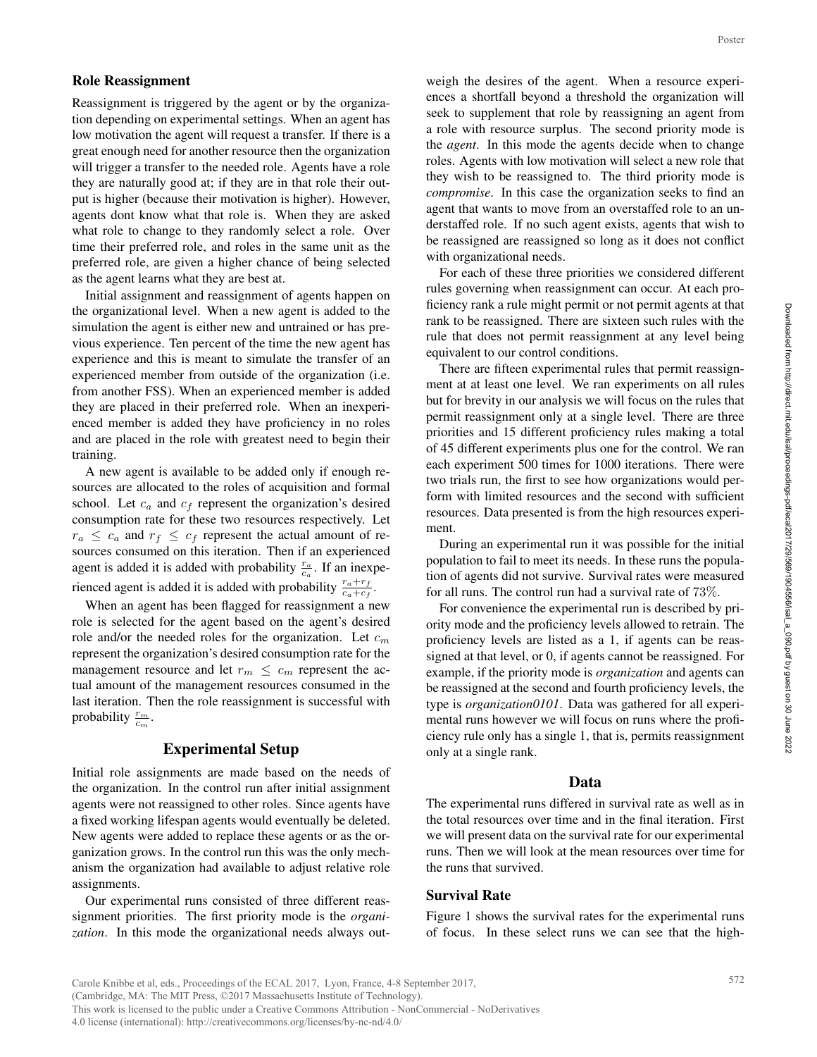Reassignment is triggered by the agent or by the organization depending on experimental settings. When an agent has low motivation the agent will request a transfer. If there is a great enough need for another resource then the organization will trigger a transfer to the needed role. Agents have a role they are naturally good at; if they are in that role their output is higher (because their motivation is higher). However, agents dont know what that role is. When they are asked what role to change to they randomly select a role. Over time their preferred role, and roles in the same unit as the preferred role, are given a higher chance of being selected as the agent learns what they are best at.

Initial assignment and reassignment of agents happen on the organizational level. When a new agent is added to the simulation the agent is either new and untrained or has previous experience. Ten percent of the time the new agent has experience and this is meant to simulate the transfer of an experienced member from outside of the organization (i.e. from another FSS). When an experienced member is added they are placed in their preferred role. When an inexperienced member is added they have proficiency in no roles and are placed in the role with greatest need to begin their training.

A new agent is available to be added only if enough resources are allocated to the roles of acquisition and formal school. Let  $c_a$  and  $c_f$  represent the organization's desired consumption rate for these two resources respectively. Let  $r_a \leq c_a$  and  $r_f \leq c_f$  represent the actual amount of resources consumed on this iteration. Then if an experienced agent is added it is added with probability  $\frac{r_a}{c_a}$ . If an inexperienced agent is added it is added with probability  $\frac{r_a+r_f}{c_a+c_f}$ .

When an agent has been flagged for reassignment a new role is selected for the agent based on the agent's desired role and/or the needed roles for the organization. Let  $c_m$ represent the organization's desired consumption rate for the management resource and let  $r_m \leq c_m$  represent the actual amount of the management resources consumed in the last iteration. Then the role reassignment is successful with probability  $\frac{r_m}{c_m}$ .

#### Experimental Setup

Initial role assignments are made based on the needs of the organization. In the control run after initial assignment agents were not reassigned to other roles. Since agents have a fixed working lifespan agents would eventually be deleted. New agents were added to replace these agents or as the organization grows. In the control run this was the only mechanism the organization had available to adjust relative role assignments.

Our experimental runs consisted of three different reassignment priorities. The first priority mode is the *organization*. In this mode the organizational needs always outweigh the desires of the agent. When a resource experiences a shortfall beyond a threshold the organization will seek to supplement that role by reassigning an agent from a role with resource surplus. The second priority mode is the *agent*. In this mode the agents decide when to change roles. Agents with low motivation will select a new role that they wish to be reassigned to. The third priority mode is *compromise*. In this case the organization seeks to find an agent that wants to move from an overstaffed role to an understaffed role. If no such agent exists, agents that wish to be reassigned are reassigned so long as it does not conflict with organizational needs. Poster<br>peri-will<br>from de is<br>ange is ange is and an un-<br>that de is and an un-<br>that de is and an un-<br>fire that the being<br>sign-rules stat three is gn-<br>reas-cient peri-<br>peri-mitial pula-<br>were in Peri-<br>reas-For scan s, the peri

For each of these three priorities we considered different rules governing when reassignment can occur. At each proficiency rank a rule might permit or not permit agents at that rank to be reassigned. There are sixteen such rules with the rule that does not permit reassignment at any level being equivalent to our control conditions.

There are fifteen experimental rules that permit reassignment at at least one level. We ran experiments on all rules but for brevity in our analysis we will focus on the rules that permit reassignment only at a single level. There are three priorities and 15 different proficiency rules making a total of 45 different experiments plus one for the control. We ran each experiment 500 times for 1000 iterations. There were two trials run, the first to see how organizations would perform with limited resources and the second with sufficient resources. Data presented is from the high resources experiment.

During an experimental run it was possible for the initial population to fail to meet its needs. In these runs the population of agents did not survive. Survival rates were measured for all runs. The control run had a survival rate of 73%.

For convenience the experimental run is described by priority mode and the proficiency levels allowed to retrain. The proficiency levels are listed as a 1, if agents can be reassigned at that level, or 0, if agents cannot be reassigned. For example, if the priority mode is *organization* and agents can be reassigned at the second and fourth proficiency levels, the type is *organization0101*. Data was gathered for all experimental runs however we will focus on runs where the proficiency rule only has a single 1, that is, permits reassignment only at a single rank.

#### Data

The experimental runs differed in survival rate as well as in the total resources over time and in the final iteration. First we will present data on the survival rate for our experimental runs. Then we will look at the mean resources over time for the runs that survived.

### Survival Rate

Figure 1 shows the survival rates for the experimental runs of focus. In these select runs we can see that the high-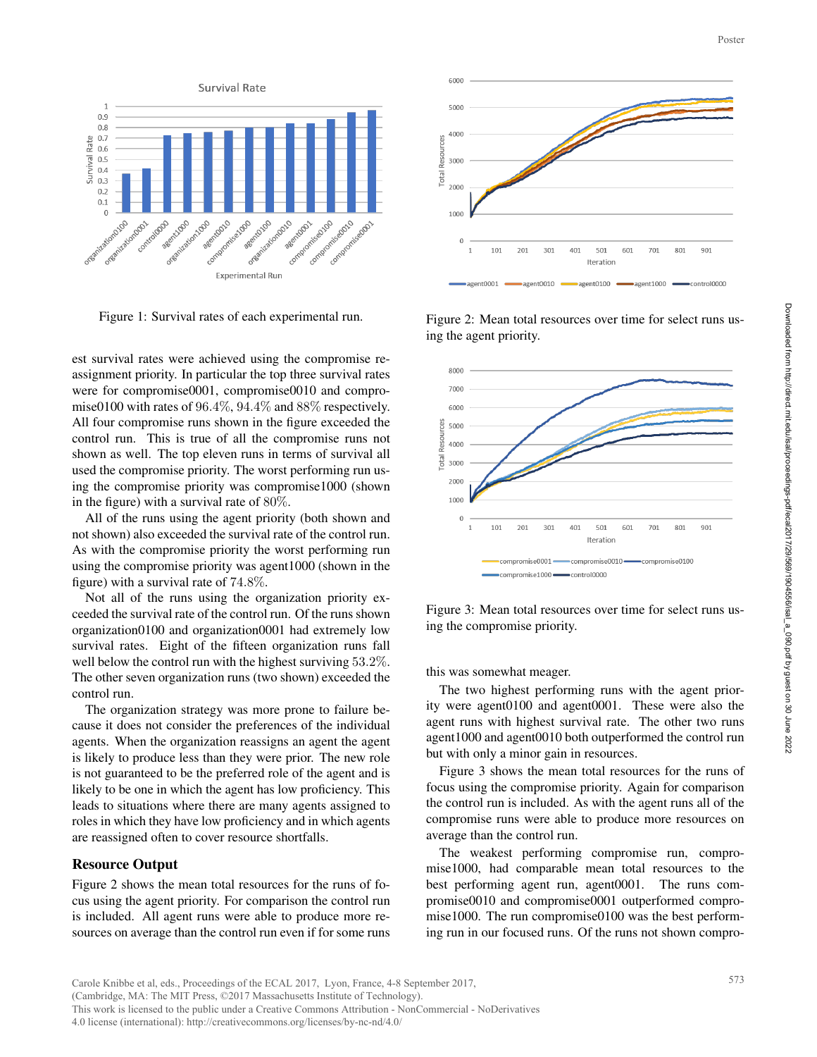

Figure 1: Survival rates of each experimental run.

est survival rates were achieved using the compromise reassignment priority. In particular the top three survival rates were for compromise0001, compromise0010 and compromise0100 with rates of 96.4%, 94.4% and 88% respectively. All four compromise runs shown in the figure exceeded the control run. This is true of all the compromise runs not shown as well. The top eleven runs in terms of survival all used the compromise priority. The worst performing run using the compromise priority was compromise1000 (shown in the figure) with a survival rate of 80%.

All of the runs using the agent priority (both shown and not shown) also exceeded the survival rate of the control run. As with the compromise priority the worst performing run using the compromise priority was agent1000 (shown in the figure) with a survival rate of 74.8%.

Not all of the runs using the organization priority exceeded the survival rate of the control run. Of the runs shown organization0100 and organization0001 had extremely low survival rates. Eight of the fifteen organization runs fall well below the control run with the highest surviving 53.2%. The other seven organization runs (two shown) exceeded the control run.

The organization strategy was more prone to failure because it does not consider the preferences of the individual agents. When the organization reassigns an agent the agent is likely to produce less than they were prior. The new role is not guaranteed to be the preferred role of the agent and is likely to be one in which the agent has low proficiency. This leads to situations where there are many agents assigned to roles in which they have low proficiency and in which agents are reassigned often to cover resource shortfalls.

#### Resource Output

Figure 2 shows the mean total resources for the runs of focus using the agent priority. For comparison the control run is included. All agent runs were able to produce more resources on average than the control run even if for some runs



Figure 2: Mean total resources over time for select runs using the agent priority.



Figure 3: Mean total resources over time for select runs using the compromise priority.

this was somewhat meager.

The two highest performing runs with the agent priority were agent0100 and agent0001. These were also the agent runs with highest survival rate. The other two runs agent1000 and agent0010 both outperformed the control run but with only a minor gain in resources.

Figure 3 shows the mean total resources for the runs of focus using the compromise priority. Again for comparison the control run is included. As with the agent runs all of the compromise runs were able to produce more resources on average than the control run.

The weakest performing compromise run, compromise1000, had comparable mean total resources to the best performing agent run, agent0001. The runs compromise0010 and compromise0001 outperformed compromise1000. The run compromise0100 was the best performing run in our focused runs. Of the runs not shown compro-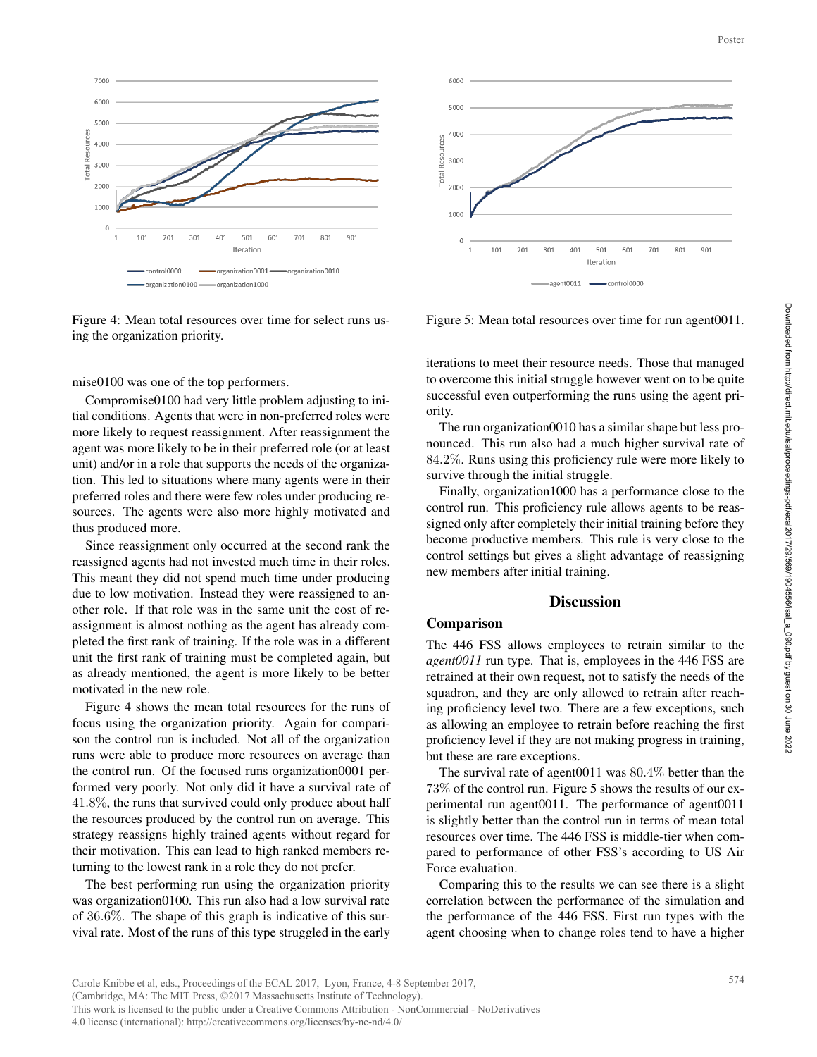

Figure 4: Mean total resources over time for select runs using the organization priority.

mise0100 was one of the top performers.

Compromise0100 had very little problem adjusting to initial conditions. Agents that were in non-preferred roles were more likely to request reassignment. After reassignment the agent was more likely to be in their preferred role (or at least unit) and/or in a role that supports the needs of the organization. This led to situations where many agents were in their preferred roles and there were few roles under producing resources. The agents were also more highly motivated and thus produced more.

Since reassignment only occurred at the second rank the reassigned agents had not invested much time in their roles. This meant they did not spend much time under producing due to low motivation. Instead they were reassigned to another role. If that role was in the same unit the cost of reassignment is almost nothing as the agent has already completed the first rank of training. If the role was in a different unit the first rank of training must be completed again, but as already mentioned, the agent is more likely to be better motivated in the new role.

Figure 4 shows the mean total resources for the runs of focus using the organization priority. Again for comparison the control run is included. Not all of the organization runs were able to produce more resources on average than the control run. Of the focused runs organization0001 performed very poorly. Not only did it have a survival rate of 41.8%, the runs that survived could only produce about half the resources produced by the control run on average. This strategy reassigns highly trained agents without regard for their motivation. This can lead to high ranked members returning to the lowest rank in a role they do not prefer.

The best performing run using the organization priority was organization0100. This run also had a low survival rate of 36.6%. The shape of this graph is indicative of this survival rate. Most of the runs of this type struggled in the early



Figure 5: Mean total resources over time for run agent0011.

iterations to meet their resource needs. Those that managed to overcome this initial struggle however went on to be quite successful even outperforming the runs using the agent priority.

The run organization0010 has a similar shape but less pronounced. This run also had a much higher survival rate of 84.2%. Runs using this proficiency rule were more likely to survive through the initial struggle.

Finally, organization1000 has a performance close to the control run. This proficiency rule allows agents to be reassigned only after completely their initial training before they become productive members. This rule is very close to the control settings but gives a slight advantage of reassigning new members after initial training.

### **Discussion**

## Comparison

The 446 FSS allows employees to retrain similar to the *agent0011* run type. That is, employees in the 446 FSS are retrained at their own request, not to satisfy the needs of the squadron, and they are only allowed to retrain after reaching proficiency level two. There are a few exceptions, such as allowing an employee to retrain before reaching the first proficiency level if they are not making progress in training, but these are rare exceptions.

The survival rate of agent0011 was 80.4% better than the 73% of the control run. Figure 5 shows the results of our experimental run agent0011. The performance of agent0011 is slightly better than the control run in terms of mean total resources over time. The 446 FSS is middle-tier when compared to performance of other FSS's according to US Air Force evaluation.

Comparing this to the results we can see there is a slight correlation between the performance of the simulation and the performance of the 446 FSS. First run types with the agent choosing when to change roles tend to have a higher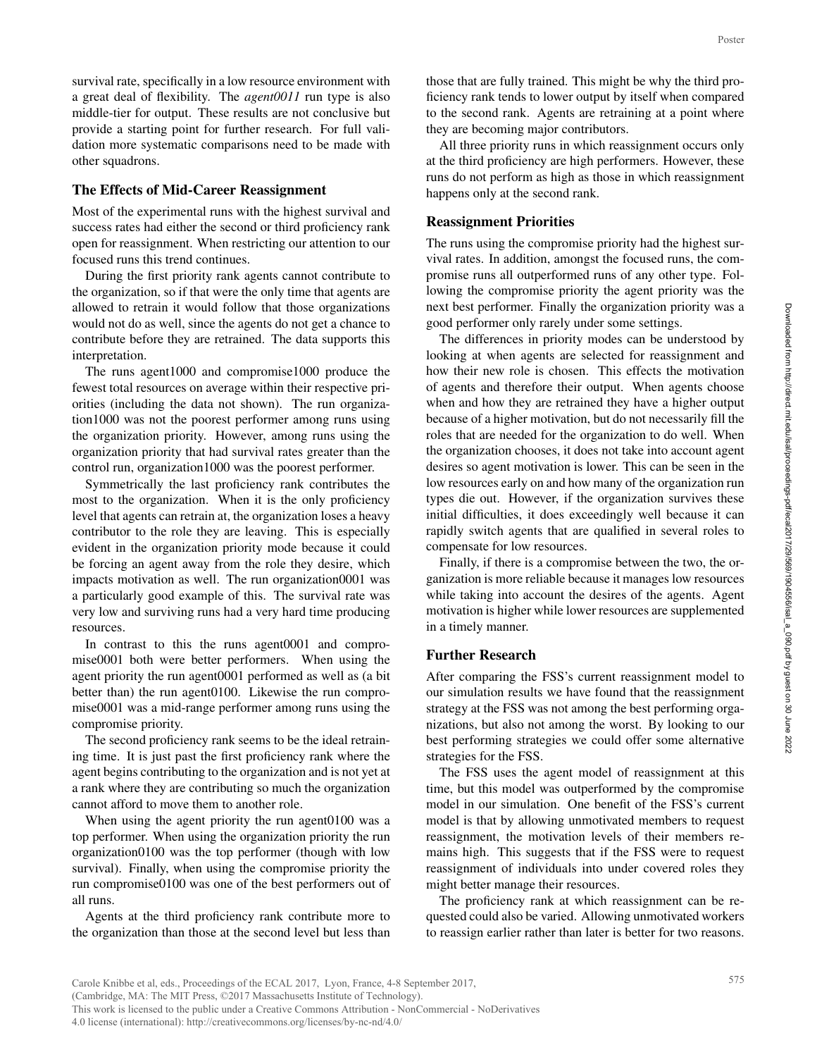survival rate, specifically in a low resource environment with a great deal of flexibility. The *agent0011* run type is also middle-tier for output. These results are not conclusive but provide a starting point for further research. For full validation more systematic comparisons need to be made with other squadrons.

### The Effects of Mid-Career Reassignment

Most of the experimental runs with the highest survival and success rates had either the second or third proficiency rank open for reassignment. When restricting our attention to our focused runs this trend continues.

During the first priority rank agents cannot contribute to the organization, so if that were the only time that agents are allowed to retrain it would follow that those organizations would not do as well, since the agents do not get a chance to contribute before they are retrained. The data supports this interpretation.

The runs agent1000 and compromise1000 produce the fewest total resources on average within their respective priorities (including the data not shown). The run organization1000 was not the poorest performer among runs using the organization priority. However, among runs using the organization priority that had survival rates greater than the control run, organization1000 was the poorest performer.

Symmetrically the last proficiency rank contributes the most to the organization. When it is the only proficiency level that agents can retrain at, the organization loses a heavy contributor to the role they are leaving. This is especially evident in the organization priority mode because it could be forcing an agent away from the role they desire, which impacts motivation as well. The run organization0001 was a particularly good example of this. The survival rate was very low and surviving runs had a very hard time producing resources.

In contrast to this the runs agent0001 and compromise0001 both were better performers. When using the agent priority the run agent0001 performed as well as (a bit better than) the run agent0100. Likewise the run compromise0001 was a mid-range performer among runs using the compromise priority.

The second proficiency rank seems to be the ideal retraining time. It is just past the first proficiency rank where the agent begins contributing to the organization and is not yet at a rank where they are contributing so much the organization cannot afford to move them to another role.

When using the agent priority the run agent0100 was a top performer. When using the organization priority the run organization0100 was the top performer (though with low survival). Finally, when using the compromise priority the run compromise0100 was one of the best performers out of all runs.

Agents at the third proficiency rank contribute more to the organization than those at the second level but less than

those that are fully trained. This might be why the third proficiency rank tends to lower output by itself when compared to the second rank. Agents are retraining at a point where they are becoming major contributors.

All three priority runs in which reassignment occurs only at the third proficiency are high performers. However, these runs do not perform as high as those in which reassignment happens only at the second rank.

#### Reassignment Priorities

The runs using the compromise priority had the highest survival rates. In addition, amongst the focused runs, the compromise runs all outperformed runs of any other type. Following the compromise priority the agent priority was the next best performer. Finally the organization priority was a good performer only rarely under some settings.

The differences in priority modes can be understood by looking at when agents are selected for reassignment and how their new role is chosen. This effects the motivation of agents and therefore their output. When agents choose when and how they are retrained they have a higher output because of a higher motivation, but do not necessarily fill the roles that are needed for the organization to do well. When the organization chooses, it does not take into account agent desires so agent motivation is lower. This can be seen in the low resources early on and how many of the organization run types die out. However, if the organization survives these initial difficulties, it does exceedingly well because it can rapidly switch agents that are qualified in several roles to compensate for low resources. Poster<br>
pro-<br>
pro-<br>
pro-<br>
pro-<br>
pro-<br>
pro-<br>
pro-<br>
pro-<br>
pro-<br>
pro-<br>
pro-<br>
pro-<br>
pro-<br>
pro-<br>
pro-<br>
pro-<br>
pro-<br>
pro-<br>
pro-<br>
pro-<br>
pro-<br>
pro-<br>
pro-<br>
pro-<br>
pro-<br>
pro-<br>
pro-<br>
pro-<br>
pro-<br>
pro-<br>
pro-<br>
pro-<br>
pro-<br>
pro-<br>
pro-<br>
pro-

Finally, if there is a compromise between the two, the organization is more reliable because it manages low resources while taking into account the desires of the agents. Agent motivation is higher while lower resources are supplemented in a timely manner.

#### Further Research

After comparing the FSS's current reassignment model to our simulation results we have found that the reassignment strategy at the FSS was not among the best performing organizations, but also not among the worst. By looking to our best performing strategies we could offer some alternative strategies for the FSS.

The FSS uses the agent model of reassignment at this time, but this model was outperformed by the compromise model in our simulation. One benefit of the FSS's current model is that by allowing unmotivated members to request reassignment, the motivation levels of their members remains high. This suggests that if the FSS were to request reassignment of individuals into under covered roles they might better manage their resources.

The proficiency rank at which reassignment can be requested could also be varied. Allowing unmotivated workers to reassign earlier rather than later is better for two reasons.

Carole Knibbe et al, eds., Proceedings of the ECAL 2017, Lyon, France, 4-8 September 2017, (Cambridge, MA: The MIT Press, ©2017 Massachusetts Institute of Technology). This work is licensed to the public under a Creative Commons Attribution - NonCommercial - NoDerivatives 4.0 license (international): http://creativecommons.org/licenses/by-nc-nd/4.0/